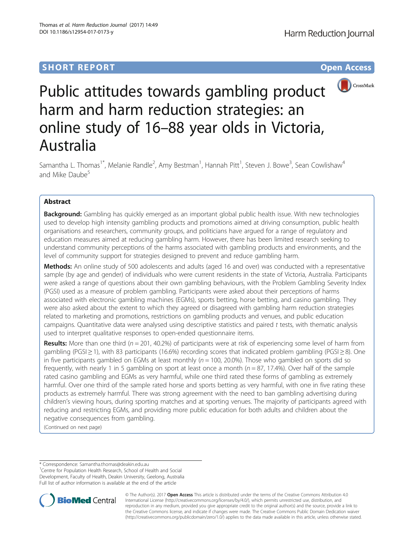# **SHORT REPORT CONSUMING THE CONSUMING OPEN ACCESS**



# Public attitudes towards gambling product harm and harm reduction strategies: an online study of 16–88 year olds in Victoria, Australia

Samantha L. Thomas<sup>1\*</sup>, Melanie Randle<sup>2</sup>, Amy Bestman<sup>1</sup>, Hannah Pitt<sup>1</sup>, Steven J. Bowe<sup>3</sup>, Sean Cowlishaw<sup>4</sup> and Mike Daube<sup>5</sup>

# Abstract

**Background:** Gambling has quickly emerged as an important global public health issue. With new technologies used to develop high intensity gambling products and promotions aimed at driving consumption, public health organisations and researchers, community groups, and politicians have argued for a range of regulatory and education measures aimed at reducing gambling harm. However, there has been limited research seeking to understand community perceptions of the harms associated with gambling products and environments, and the level of community support for strategies designed to prevent and reduce gambling harm.

Methods: An online study of 500 adolescents and adults (aged 16 and over) was conducted with a representative sample (by age and gender) of individuals who were current residents in the state of Victoria, Australia. Participants were asked a range of questions about their own gambling behaviours, with the Problem Gambling Severity Index (PGSI) used as a measure of problem gambling. Participants were asked about their perceptions of harms associated with electronic gambling machines (EGMs), sports betting, horse betting, and casino gambling. They were also asked about the extent to which they agreed or disagreed with gambling harm reduction strategies related to marketing and promotions, restrictions on gambling products and venues, and public education campaigns. Quantitative data were analysed using descriptive statistics and paired t tests, with thematic analysis used to interpret qualitative responses to open-ended questionnaire items.

**Results:** More than one third ( $n = 201$ , 40.2%) of participants were at risk of experiencing some level of harm from gambling (PGSI ≥ 1), with 83 participants (16.6%) recording scores that indicated problem gambling (PGSI ≥ 8). One in five participants gambled on EGMs at least monthly  $(n = 100, 20.0\%)$ . Those who gambled on sports did so frequently, with nearly 1 in 5 gambling on sport at least once a month ( $n = 87$ , 17.4%). Over half of the sample rated casino gambling and EGMs as very harmful, while one third rated these forms of gambling as extremely harmful. Over one third of the sample rated horse and sports betting as very harmful, with one in five rating these products as extremely harmful. There was strong agreement with the need to ban gambling advertising during children's viewing hours, during sporting matches and at sporting venues. The majority of participants agreed with reducing and restricting EGMs, and providing more public education for both adults and children about the negative consequences from gambling.

(Continued on next page)

\* Correspondence: [Samantha.thomas@deakin.edu.au](mailto:Samantha.thomas@deakin.edu.au) <sup>1</sup>

Centre for Population Health Research, School of Health and Social Development, Faculty of Health, Deakin University, Geelong, Australia Full list of author information is available at the end of the article



© The Author(s). 2017 **Open Access** This article is distributed under the terms of the Creative Commons Attribution 4.0 International License [\(http://creativecommons.org/licenses/by/4.0/](http://creativecommons.org/licenses/by/4.0/)), which permits unrestricted use, distribution, and reproduction in any medium, provided you give appropriate credit to the original author(s) and the source, provide a link to the Creative Commons license, and indicate if changes were made. The Creative Commons Public Domain Dedication waiver [\(http://creativecommons.org/publicdomain/zero/1.0/](http://creativecommons.org/publicdomain/zero/1.0/)) applies to the data made available in this article, unless otherwise stated.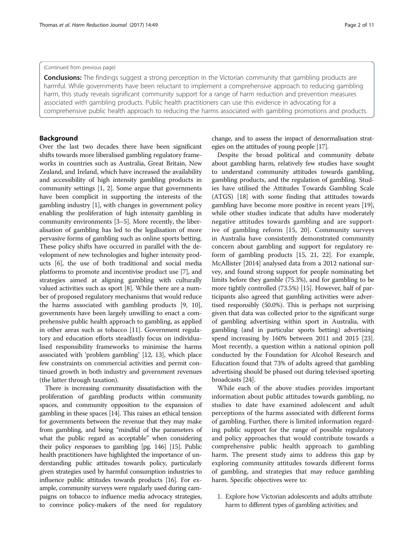# (Continued from previous page)

**Conclusions:** The findings suggest a strong perception in the Victorian community that gambling products are harmful. While governments have been reluctant to implement a comprehensive approach to reducing gambling harm, this study reveals significant community support for a range of harm reduction and prevention measures associated with gambling products. Public health practitioners can use this evidence in advocating for a comprehensive public health approach to reducing the harms associated with gambling promotions and products.

# Background

Over the last two decades there have been significant shifts towards more liberalised gambling regulatory frameworks in countries such as Australia, Great Britain, New Zealand, and Ireland, which have increased the availability and accessibility of high intensity gambling products in community settings [\[1](#page-9-0), [2\]](#page-9-0). Some argue that governments have been complicit in supporting the interests of the gambling industry [[1\]](#page-9-0), with changes in government policy enabling the proliferation of high intensity gambling in community environments [\[3](#page-9-0)–[5\]](#page-9-0). More recently, the liberalisation of gambling has led to the legalisation of more pervasive forms of gambling such as online sports betting. These policy shifts have occurred in parallel with the development of new technologies and higher intensity products [[6\]](#page-9-0), the use of both traditional and social media platforms to promote and incentivise product use [[7\]](#page-9-0), and strategies aimed at aligning gambling with culturally valued activities such as sport [\[8](#page-9-0)]. While there are a number of proposed regulatory mechanisms that would reduce the harms associated with gambling products [[9, 10](#page-9-0)], governments have been largely unwilling to enact a comprehensive public health approach to gambling, as applied in other areas such as tobacco [\[11](#page-9-0)]. Government regulatory and education efforts steadfastly focus on individualised responsibility frameworks to minimise the harms associated with 'problem gambling' [[12](#page-9-0), [13\]](#page-9-0), which place few constraints on commercial activities and permit continued growth in both industry and government revenues (the latter through taxation).

There is increasing community dissatisfaction with the proliferation of gambling products within community spaces, and community opposition to the expansion of gambling in these spaces [[14](#page-9-0)]. This raises an ethical tension for governments between the revenue that they may make from gambling, and being "mindful of the parameters of what the public regard as acceptable" when considering their policy responses to gambling [pg. 146] [\[15](#page-9-0)]. Public health practitioners have highlighted the importance of understanding public attitudes towards policy, particularly given strategies used by harmful consumption industries to influence public attitudes towards products [\[16\]](#page-10-0). For example, community surveys were regularly used during campaigns on tobacco to influence media advocacy strategies, to convince policy-makers of the need for regulatory

change, and to assess the impact of denormalisation strategies on the attitudes of young people [\[17\]](#page-10-0).

Despite the broad political and community debate about gambling harm, relatively few studies have sought to understand community attitudes towards gambling, gambling products, and the regulation of gambling. Studies have utilised the Attitudes Towards Gambling Scale (ATGS) [\[18\]](#page-10-0) with some finding that attitudes towards gambling have become more positive in recent years [[19](#page-10-0)], while other studies indicate that adults have moderately negative attitudes towards gambling and are supportive of gambling reform [[15](#page-9-0), [20](#page-10-0)]. Community surveys in Australia have consistently demonstrated community concern about gambling and support for regulatory reform of gambling products [\[15,](#page-9-0) [21](#page-10-0), [22](#page-10-0)]. For example, McAllister [2014] analysed data from a 2012 national survey, and found strong support for people nominating bet limits before they gamble (75.3%), and for gambling to be more tightly controlled (73.5%) [[15](#page-9-0)]. However, half of participants also agreed that gambling activities were advertised responsibly (50.0%). This is perhaps not surprising given that data was collected prior to the significant surge of gambling advertising within sport in Australia, with gambling (and in particular sports betting) advertising spend increasing by 160% between 2011 and 2015 [[23](#page-10-0)]. Most recently, a question within a national opinion poll conducted by the Foundation for Alcohol Research and Education found that 73% of adults agreed that gambling advertising should be phased out during televised sporting broadcasts [[24](#page-10-0)].

While each of the above studies provides important information about public attitudes towards gambling, no studies to date have examined adolescent and adult perceptions of the harms associated with different forms of gambling. Further, there is limited information regarding public support for the range of possible regulatory and policy approaches that would contribute towards a comprehensive public health approach to gambling harm. The present study aims to address this gap by exploring community attitudes towards different forms of gambling, and strategies that may reduce gambling harm. Specific objectives were to:

1. Explore how Victorian adolescents and adults attribute harm to different types of gambling activities; and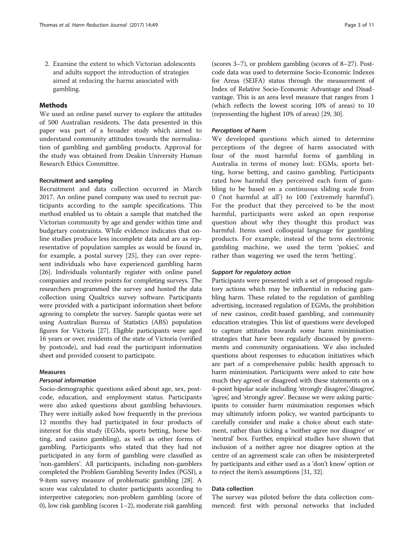2. Examine the extent to which Victorian adolescents and adults support the introduction of strategies aimed at reducing the harms associated with gambling.

# Methods

We used an online panel survey to explore the attitudes of 500 Australian residents. The data presented in this paper was part of a broader study which aimed to understand community attitudes towards the normalisation of gambling and gambling products. Approval for the study was obtained from Deakin University Human Research Ethics Committee.

# Recruitment and sampling

Recruitment and data collection occurred in March 2017. An online panel company was used to recruit participants according to the sample specifications. This method enabled us to obtain a sample that matched the Victorian community by age and gender within time and budgetary constraints. While evidence indicates that online studies produce less incomplete data and are as representative of population samples as would be found in, for example, a postal survey [\[25\]](#page-10-0), they can over represent individuals who have experienced gambling harm [[26\]](#page-10-0). Individuals voluntarily register with online panel companies and receive points for completing surveys. The researchers programmed the survey and hosted the data collection using Qualtrics survey software. Participants were provided with a participant information sheet before agreeing to complete the survey. Sample quotas were set using Australian Bureau of Statistics (ABS) population figures for Victoria [[27](#page-10-0)]. Eligible participants were aged 16 years or over, residents of the state of Victoria (verified by postcode), and had read the participant information sheet and provided consent to participate.

# Measures

# Personal information

Socio-demographic questions asked about age, sex, postcode, education, and employment status. Participants were also asked questions about gambling behaviours. They were initially asked how frequently in the previous 12 months they had participated in four products of interest for this study (EGMs, sports betting, horse betting, and casino gambling), as well as other forms of gambling. Participants who stated that they had not participated in any form of gambling were classified as 'non-gamblers'. All participants, including non-gamblers completed the Problem Gambling Severity Index (PGSI), a 9-item survey measure of problematic gambling [\[28](#page-10-0)]. A score was calculated to cluster participants according to interpretive categories; non-problem gambling (score of 0), low risk gambling (scores 1–2), moderate risk gambling

(scores 3–7), or problem gambling (scores of 8–27). Postcode data was used to determine Socio-Economic Indexes for Areas (SEIFA) status through the measurement of Index of Relative Socio-Economic Advantage and Disadvantage. This is an area level measure that ranges from 1 (which reflects the lowest scoring 10% of areas) to 10 (representing the highest 10% of areas) [\[29, 30](#page-10-0)].

# Perceptions of harm

We developed questions which aimed to determine perceptions of the degree of harm associated with four of the most harmful forms of gambling in Australia in terms of money lost: EGMs, sports betting, horse betting, and casino gambling. Participants rated how harmful they perceived each form of gambling to be based on a continuous sliding scale from 0 ('not harmful at all') to 100 ('extremely harmful'). For the product that they perceived to be the most harmful, participants were asked an open response question about why they thought this product was harmful. Items used colloquial language for gambling products. For example, instead of the term electronic gambling machine, we used the term 'pokies', and rather than wagering we used the term 'betting'.

# Support for regulatory action

Participants were presented with a set of proposed regulatory actions which may be influential in reducing gambling harm. These related to the regulation of gambling advertising, increased regulation of EGMs, the prohibition of new casinos, credit-based gambling, and community education strategies. This list of questions were developed to capture attitudes towards some harm minimisation strategies that have been regularly discussed by governments and community organisations. We also included questions about responses to education initiatives which are part of a comprehensive public health approach to harm minimisation. Participants were asked to rate how much they agreed or disagreed with these statements on a 4-point bipolar scale including 'strongly disagree', 'disagree', 'agree', and 'strongly agree'. Because we were asking participants to consider harm minimisation responses which may ultimately inform policy, we wanted participants to carefully consider and make a choice about each statement, rather than ticking a 'neither agree nor disagree' or 'neutral' box. Further, empirical studies have shown that inclusion of a neither agree nor disagree option at the centre of an agreement scale can often be misinterpreted by participants and either used as a 'don't know' option or to reject the item's assumptions [[31](#page-10-0), [32\]](#page-10-0).

# Data collection

The survey was piloted before the data collection commenced: first with personal networks that included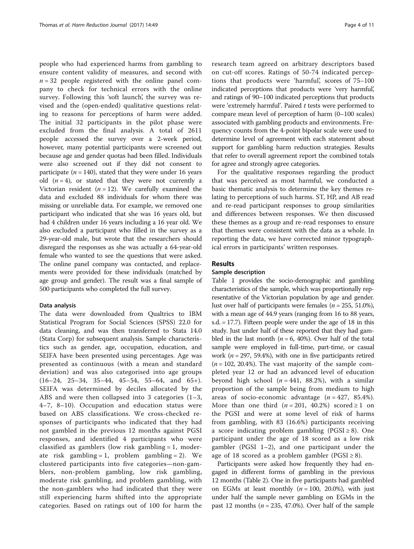people who had experienced harms from gambling to ensure content validity of measures, and second with  $n = 32$  people registered with the online panel company to check for technical errors with the online survey. Following this 'soft launch', the survey was revised and the (open-ended) qualitative questions relating to reasons for perceptions of harm were added. The initial 32 participants in the pilot phase were excluded from the final analysis. A total of 2611 people accessed the survey over a 2-week period, however, many potential participants were screened out because age and gender quotas had been filled. Individuals were also screened out if they did not consent to participate ( $n = 140$ ), stated that they were under 16 years old  $(n = 4)$ , or stated that they were not currently a Victorian resident ( $n = 12$ ). We carefully examined the data and excluded 88 individuals for whom there was missing or unreliable data. For example, we removed one participant who indicated that she was 16 years old, but had 4 children under 16 years including a 16 year old. We also excluded a participant who filled in the survey as a 29-year-old male, but wrote that the researchers should disregard the responses as she was actually a 64-year-old female who wanted to see the questions that were asked. The online panel company was contacted, and replacements were provided for these individuals (matched by age group and gender). The result was a final sample of 500 participants who completed the full survey.

# Data analysis

The data were downloaded from Qualtrics to IBM Statistical Program for Social Sciences (SPSS) 22.0 for data cleaning, and was then transferred to Stata 14.0 (Stata Corp) for subsequent analysis. Sample characteristics such as gender, age, occupation, education, and SEIFA have been presented using percentages. Age was presented as continuous (with a mean and standard deviation) and was also categorised into age groups  $(16-24, 25-34, 35-44, 45-54, 55-64, and 65+).$ SEIFA was determined by deciles allocated by the ABS and were then collapsed into 3 categories (1–3, 4–7, 8–10). Occupation and education status were based on ABS classifications. We cross-checked responses of participants who indicated that they had not gambled in the previous 12 months against PGSI responses, and identified 4 participants who were classified as gamblers (low risk gambling = 1, moderate risk gambling = 1, problem gambling = 2). We clustered participants into five categories—non-gamblers, non-problem gambling, low risk gambling, moderate risk gambling, and problem gambling, with the non-gamblers who had indicated that they were still experiencing harm shifted into the appropriate categories. Based on ratings out of 100 for harm the research team agreed on arbitrary descriptors based on cut-off scores. Ratings of 50-74 indicated perceptions that products were 'harmful', scores of 75–100 indicated perceptions that products were 'very harmful', and ratings of 90–100 indicated perceptions that products were 'extremely harmful'. Paired  $t$  tests were performed to compare mean level of perception of harm (0–100 scales) associated with gambling products and environments. Frequency counts from the 4-point bipolar scale were used to determine level of agreement with each statement about support for gambling harm reduction strategies. Results that refer to overall agreement report the combined totals for agree and strongly agree categories.

For the qualitative responses regarding the product that was perceived as most harmful, we conducted a basic thematic analysis to determine the key themes relating to perceptions of such harms. ST, HP, and AB read and re-read participant responses to group similarities and differences between responses. We then discussed these themes as a group and re-read responses to ensure that themes were consistent with the data as a whole. In reporting the data, we have corrected minor typographical errors in participants' written responses.

# Results

# Sample description

Table [1](#page-4-0) provides the socio-demographic and gambling characteristics of the sample, which was proportionally representative of the Victorian population by age and gender. Just over half of participants were females ( $n = 255, 51.0\%$ ), with a mean age of 44.9 years (ranging from 16 to 88 years, s.d. = 17.7). Fifteen people were under the age of 18 in this study. Just under half of these reported that they had gambled in the last month ( $n = 6$ , 40%). Over half of the total sample were employed in full-time, part-time, or casual work ( $n = 297$ , 59.4%), with one in five participants retired  $(n = 102, 20.4\%)$ . The vast majority of the sample completed year 12 or had an advanced level of education beyond high school ( $n = 441, 88.2\%$ ), with a similar proportion of the sample being from medium to high areas of socio-economic advantage  $(n = 427, 85.4\%).$ More than one third  $(n = 201, 40.2%)$  scored ≥ 1 on the PGSI and were at some level of risk of harms from gambling, with 83 (16.6%) participants receiving a score indicating problem gambling (PGSI  $\geq$  8). One participant under the age of 18 scored as a low risk gambler (PGSI 1–2), and one participant under the age of 18 scored as a problem gambler (PGSI  $\geq$  8).

Participants were asked how frequently they had engaged in different forms of gambling in the previous 12 months (Table [2\)](#page-4-0). One in five participants had gambled on EGMs at least monthly  $(n = 100, 20.0\%)$ , with just under half the sample never gambling on EGMs in the past 12 months ( $n = 235, 47.0\%$ ). Over half of the sample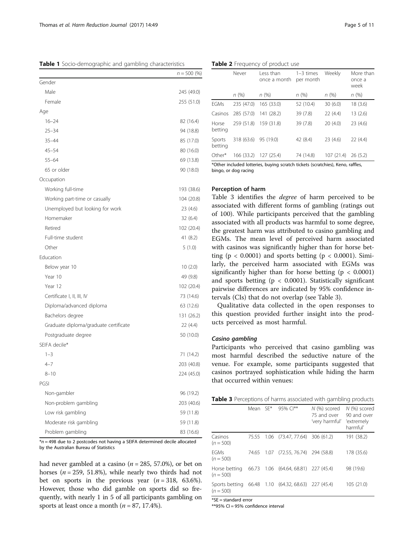<span id="page-4-0"></span>Table 1 Socio-demographic and gambling characteristics

|                                       | $n = 500 (%)$ |
|---------------------------------------|---------------|
| Gender                                |               |
| Male                                  | 245 (49.0)    |
| Female                                | 255 (51.0)    |
| Age                                   |               |
| $16 - 24$                             | 82 (16.4)     |
| $25 - 34$                             | 94 (18.8)     |
| $35 - 44$                             | 85 (17.0)     |
| $45 - 54$                             | 80 (16.0)     |
| $55 - 64$                             | 69 (13.8)     |
| 65 or older                           | 90 (18.0)     |
| Occupation                            |               |
| Working full-time                     | 193 (38.6)    |
| Working part-time or casually         | 104 (20.8)    |
| Unemployed but looking for work       | 23 (4.6)      |
| Homemaker                             | 32(6.4)       |
| Retired                               | 102 (20.4)    |
| Full-time student                     | 41 (8.2)      |
| Other                                 | 5(1.0)        |
| Education                             |               |
| Below year 10                         | 10(2.0)       |
| Year 10                               | 49 (9.8)      |
| Year 12                               | 102 (20.4)    |
| Certificate I, II, III, IV            | 73 (14.6)     |
| Diploma/advanced diploma              | 63 (12.6)     |
| Bachelors degree                      | 131 (26.2)    |
| Graduate diploma/graduate certificate | 22 (4.4)      |
| Postgraduate degree                   | 50 (10.0)     |
| SEIFA decile*                         |               |
| $1 - 3$                               | 71 (14.2)     |
| $4 - 7$                               | 203 (40.8)    |
| $8 - 10$                              | 224 (45.0)    |
| PGSI                                  |               |
| Non-gambler                           | 96 (19.2)     |
| Non-problem gambling                  | 203 (40.6)    |
| Low risk gambling                     | 59 (11.8)     |
| Moderate risk gambling                | 59 (11.8)     |

 $*$ n = 498 due to 2 postcodes not having a SEIFA determined decile allocated by the Australian Bureau of Statistics

Problem gambling 83 (16.6)

had never gambled at a casino ( $n = 285, 57.0\%$ ), or bet on horses ( $n = 259, 51.8\%$ ), while nearly two thirds had not bet on sports in the previous year  $(n = 318, 63.6\%).$ However, those who did gamble on sports did so frequently, with nearly 1 in 5 of all participants gambling on sports at least once a month ( $n = 87, 17.4\%$ ).

Table 2 Frequency of product use

|                   | Never      | Less than<br>once a month | $1-3$ times<br>per month | Weekly    | More than<br>once a<br>week |
|-------------------|------------|---------------------------|--------------------------|-----------|-----------------------------|
|                   | n(%)       | n(%)                      | n(%)                     | n(%)      | n(%)                        |
| <b>EGMs</b>       | 235 (47.0) | 165 (33.0)                | 52 (10.4)                | 30(6.0)   | 18(3.6)                     |
| Casinos           | 285 (57.0) | 141 (28.2)                | 39 (7.8)                 | 22(4.4)   | 13(2.6)                     |
| Horse<br>betting  | 259 (51.8) | 159 (31.8)                | 39 (7.8)                 | 20(4.0)   | 23(4.6)                     |
| Sports<br>betting | 318 (63.6) | 95 (19.0)                 | 42 (8.4)                 | 23(4.6)   | 22(4.4)                     |
| Other*            | 166 (33.2) | 127(25.4)                 | 74 (14.8)                | 107(21.4) | 26(5.2)                     |

\*Other included lotteries, buying scratch tickets (scratchies), Keno, raffles, bingo, or dog racing

# Perception of harm

Table 3 identifies the degree of harm perceived to be associated with different forms of gambling (ratings out of 100). While participants perceived that the gambling associated with all products was harmful to some degree, the greatest harm was attributed to casino gambling and EGMs. The mean level of perceived harm associated with casinos was significantly higher than for horse betting ( $p < 0.0001$ ) and sports betting ( $p < 0.0001$ ). Similarly, the perceived harm associated with EGMs was significantly higher than for horse betting ( $p < 0.0001$ ) and sports betting  $(p < 0.0001)$ . Statistically significant pairwise differences are indicated by 95% confidence intervals (CIs) that do not overlap (see Table 3).

Qualitative data collected in the open responses to this question provided further insight into the products perceived as most harmful.

# Casino gambling

Participants who perceived that casino gambling was most harmful described the seductive nature of the venue. For example, some participants suggested that casinos portrayed sophistication while hiding the harm that occurred within venues:

| <b>Table 3</b> Perceptions of harms associated with gambling products |  |  |  |
|-----------------------------------------------------------------------|--|--|--|
|-----------------------------------------------------------------------|--|--|--|

|                                                                    |       | Mean $SF^*$ 95% $CI^{**}$            | N (%) scored<br>75 and over<br>'very harmful' | N (%) scored<br>90 and over<br>'extremely<br>harmful' |
|--------------------------------------------------------------------|-------|--------------------------------------|-----------------------------------------------|-------------------------------------------------------|
| Casinos<br>$(n = 500)$                                             |       | 75.55 1.06 (73.47, 77.64) 306 (61.2) |                                               | 191 (38.2)                                            |
| <b>FGMs</b><br>$(n = 500)$                                         | 74.65 | 1.07 (72.55, 76.74) 294 (58.8)       |                                               | 178 (35.6)                                            |
| Horse betting<br>$(n = 500)$                                       |       | 66.73 1.06 (64.64, 68.81) 227 (45.4) |                                               | 98 (19.6)                                             |
| Sports betting 66.48 1.10 (64.32, 68.63) 227 (45.4)<br>$(n = 500)$ |       |                                      |                                               | 105 (21.0)                                            |

\*SE = standard error

\*\*95% CI = 95% confidence interval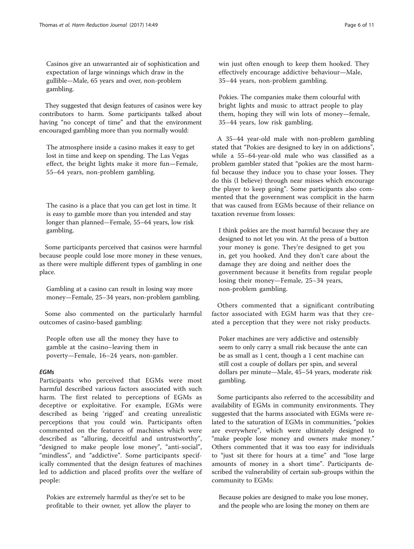Casinos give an unwarranted air of sophistication and expectation of large winnings which draw in the gullible—Male, 65 years and over, non-problem gambling.

They suggested that design features of casinos were key contributors to harm. Some participants talked about having "no concept of time" and that the environment encouraged gambling more than you normally would:

The atmosphere inside a casino makes it easy to get lost in time and keep on spending. The Las Vegas effect, the bright lights make it more fun—Female, 55–64 years, non-problem gambling.

The casino is a place that you can get lost in time. It is easy to gamble more than you intended and stay longer than planned—Female, 55–64 years, low risk gambling.

Some participants perceived that casinos were harmful because people could lose more money in these venues, as there were multiple different types of gambling in one place.

Gambling at a casino can result in losing way more money—Female, 25–34 years, non-problem gambling.

Some also commented on the particularly harmful outcomes of casino-based gambling:

People often use all the money they have to gamble at the casino–leaving them in poverty—Female, 16–24 years, non-gambler.

# **EGMs**

Participants who perceived that EGMs were most harmful described various factors associated with such harm. The first related to perceptions of EGMs as deceptive or exploitative. For example, EGMs were described as being 'rigged' and creating unrealistic perceptions that you could win. Participants often commented on the features of machines which were described as "alluring, deceitful and untrustworthy", "designed to make people lose money", "anti-social", "mindless", and "addictive". Some participants specifically commented that the design features of machines led to addiction and placed profits over the welfare of people:

Pokies are extremely harmful as they're set to be profitable to their owner, yet allow the player to win just often enough to keep them hooked. They effectively encourage addictive behaviour—Male, 35–44 years, non-problem gambling.

Pokies. The companies make them colourful with bright lights and music to attract people to play them, hoping they will win lots of money—female, 35–44 years, low risk gambling.

A 35–44 year-old male with non-problem gambling stated that "Pokies are designed to key in on addictions", while a 55–64-year-old male who was classified as a problem gambler stated that "pokies are the most harmful because they induce you to chase your losses. They do this (I believe) through near misses which encourage the player to keep going". Some participants also commented that the government was complicit in the harm that was caused from EGMs because of their reliance on taxation revenue from losses:

I think pokies are the most harmful because they are designed to not let you win. At the press of a button your money is gone. They're designed to get you in, get you hooked. And they don't care about the damage they are doing and neither does the government because it benefits from regular people losing their money—Female, 25–34 years, non-problem gambling.

Others commented that a significant contributing factor associated with EGM harm was that they created a perception that they were not risky products.

Poker machines are very addictive and ostensibly seem to only carry a small risk because the ante can be as small as 1 cent, though a 1 cent machine can still cost a couple of dollars per spin, and several dollars per minute—Male, 45–54 years, moderate risk gambling.

Some participants also referred to the accessibility and availability of EGMs in community environments. They suggested that the harms associated with EGMs were related to the saturation of EGMs in communities, "pokies are everywhere", which were ultimately designed to "make people lose money and owners make money." Others commented that it was too easy for individuals to "just sit there for hours at a time" and "lose large amounts of money in a short time". Participants described the vulnerability of certain sub-groups within the community to EGMs:

Because pokies are designed to make you lose money, and the people who are losing the money on them are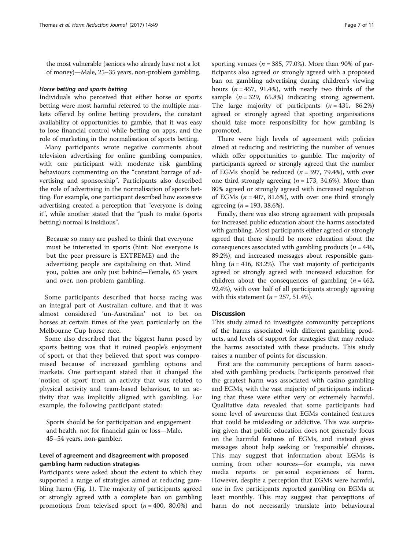the most vulnerable (seniors who already have not a lot of money)—Male, 25–35 years, non-problem gambling.

# Horse betting and sports betting

Individuals who perceived that either horse or sports betting were most harmful referred to the multiple markets offered by online betting providers, the constant availability of opportunities to gamble, that it was easy to lose financial control while betting on apps, and the role of marketing in the normalisation of sports betting.

Many participants wrote negative comments about television advertising for online gambling companies, with one participant with moderate risk gambling behaviours commenting on the "constant barrage of advertising and sponsorship". Participants also described the role of advertising in the normalisation of sports betting. For example, one participant described how excessive advertising created a perception that "everyone is doing it", while another stated that the "push to make (sports betting) normal is insidious".

Because so many are pushed to think that everyone must be interested in sports (hint: Not everyone is but the peer pressure is EXTREME) and the advertising people are capitalising on that. Mind you, pokies are only just behind—Female, 65 years and over, non-problem gambling.

Some participants described that horse racing was an integral part of Australian culture, and that it was almost considered 'un-Australian' not to bet on horses at certain times of the year, particularly on the Melbourne Cup horse race.

Some also described that the biggest harm posed by sports betting was that it ruined people's enjoyment of sport, or that they believed that sport was compromised because of increased gambling options and markets. One participant stated that it changed the 'notion of sport' from an activity that was related to physical activity and team-based behaviour, to an activity that was implicitly aligned with gambling. For example, the following participant stated:

Sports should be for participation and engagement and health, not for financial gain or loss—Male, 45–54 years, non-gambler.

# Level of agreement and disagreement with proposed gambling harm reduction strategies

Participants were asked about the extent to which they supported a range of strategies aimed at reducing gambling harm (Fig. [1\)](#page-7-0). The majority of participants agreed or strongly agreed with a complete ban on gambling promotions from televised sport ( $n = 400$ , 80.0%) and

sporting venues ( $n = 385, 77.0\%$ ). More than 90% of participants also agreed or strongly agreed with a proposed ban on gambling advertising during children's viewing hours ( $n = 457$ , 91.4%), with nearly two thirds of the sample  $(n = 329, 65.8%)$  indicating strong agreement. The large majority of participants  $(n = 431, 86.2\%)$ agreed or strongly agreed that sporting organisations should take more responsibility for how gambling is promoted.

There were high levels of agreement with policies aimed at reducing and restricting the number of venues which offer opportunities to gamble. The majority of participants agreed or strongly agreed that the number of EGMs should be reduced  $(n = 397, 79.4\%)$ , with over one third strongly agreeing ( $n = 173, 34.6\%$ ). More than 80% agreed or strongly agreed with increased regulation of EGMs ( $n = 407$ , 81.6%), with over one third strongly agreeing ( $n = 193, 38.6\%$ ).

Finally, there was also strong agreement with proposals for increased public education about the harms associated with gambling. Most participants either agreed or strongly agreed that there should be more education about the consequences associated with gambling products ( $n = 446$ , 89.2%), and increased messages about responsible gambling ( $n = 416$ , 83.2%). The vast majority of participants agreed or strongly agreed with increased education for children about the consequences of gambling  $(n = 462,$ 92.4%), with over half of all participants strongly agreeing with this statement ( $n = 257, 51.4\%$ ).

# Discussion

This study aimed to investigate community perceptions of the harms associated with different gambling products, and levels of support for strategies that may reduce the harms associated with these products. This study raises a number of points for discussion.

First are the community perceptions of harm associated with gambling products. Participants perceived that the greatest harm was associated with casino gambling and EGMs, with the vast majority of participants indicating that these were either very or extremely harmful. Qualitative data revealed that some participants had some level of awareness that EGMs contained features that could be misleading or addictive. This was surprising given that public education does not generally focus on the harmful features of EGMs, and instead gives messages about help seeking or 'responsible' choices. This may suggest that information about EGMs is coming from other sources—for example, via news media reports or personal experiences of harm. However, despite a perception that EGMs were harmful, one in five participants reported gambling on EGMs at least monthly. This may suggest that perceptions of harm do not necessarily translate into behavioural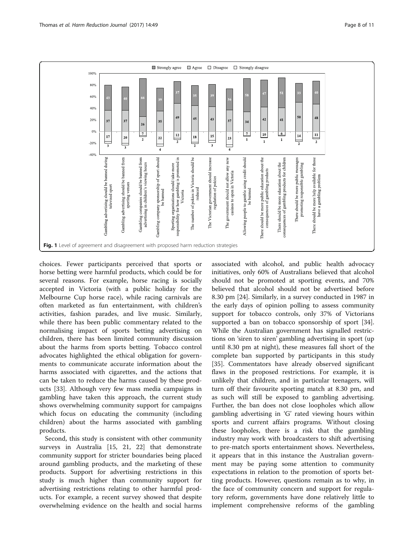<span id="page-7-0"></span>

choices. Fewer participants perceived that sports or horse betting were harmful products, which could be for several reasons. For example, horse racing is socially accepted in Victoria (with a public holiday for the Melbourne Cup horse race), while racing carnivals are often marketed as fun entertainment, with children's activities, fashion parades, and live music. Similarly, while there has been public commentary related to the normalising impact of sports betting advertising on children, there has been limited community discussion about the harms from sports betting. Tobacco control advocates highlighted the ethical obligation for governments to communicate accurate information about the harms associated with cigarettes, and the actions that can be taken to reduce the harms caused by these products [[33\]](#page-10-0). Although very few mass media campaigns in gambling have taken this approach, the current study shows overwhelming community support for campaigns which focus on educating the community (including children) about the harms associated with gambling products.

Second, this study is consistent with other community surveys in Australia [\[15,](#page-9-0) [21](#page-10-0), [22\]](#page-10-0) that demonstrate community support for stricter boundaries being placed around gambling products, and the marketing of these products. Support for advertising restrictions in this study is much higher than community support for advertising restrictions relating to other harmful products. For example, a recent survey showed that despite overwhelming evidence on the health and social harms

associated with alcohol, and public health advocacy initiatives, only 60% of Australians believed that alcohol should not be promoted at sporting events, and 70% believed that alcohol should not be advertised before 8.30 pm [\[24\]](#page-10-0). Similarly, in a survey conducted in 1987 in the early days of opinion polling to assess community support for tobacco controls, only 37% of Victorians supported a ban on tobacco sponsorship of sport [\[34](#page-10-0)]. While the Australian government has signalled restrictions on 'siren to siren' gambling advertising in sport (up until 8.30 pm at night), these measures fall short of the complete ban supported by participants in this study [[35\]](#page-10-0). Commentators have already observed significant flaws in the proposed restrictions. For example, it is unlikely that children, and in particular teenagers, will turn off their favourite sporting match at 8.30 pm, and as such will still be exposed to gambling advertising. Further, the ban does not close loopholes which allow gambling advertising in 'G' rated viewing hours within sports and current affairs programs. Without closing these loopholes, there is a risk that the gambling industry may work with broadcasters to shift advertising to pre-match sports entertainment shows. Nevertheless, it appears that in this instance the Australian government may be paying some attention to community expectations in relation to the promotion of sports betting products. However, questions remain as to why, in the face of community concern and support for regulatory reform, governments have done relatively little to implement comprehensive reforms of the gambling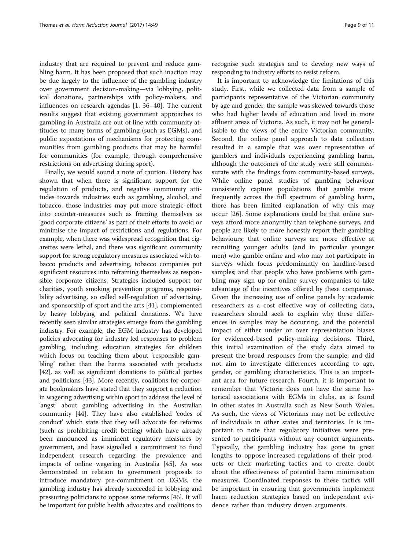industry that are required to prevent and reduce gambling harm. It has been proposed that such inaction may be due largely to the influence of the gambling industry over government decision-making—via lobbying, political donations, partnerships with policy-makers, and influences on research agendas [\[1](#page-9-0), [36](#page-10-0)–[40\]](#page-10-0). The current results suggest that existing government approaches to gambling in Australia are out of line with community attitudes to many forms of gambling (such as EGMs), and public expectations of mechanisms for protecting communities from gambling products that may be harmful for communities (for example, through comprehensive restrictions on advertising during sport).

Finally, we would sound a note of caution. History has shown that when there is significant support for the regulation of products, and negative community attitudes towards industries such as gambling, alcohol, and tobacco, those industries may put more strategic effort into counter-measures such as framing themselves as 'good corporate citizens' as part of their efforts to avoid or minimise the impact of restrictions and regulations. For example, when there was widespread recognition that cigarettes were lethal, and there was significant community support for strong regulatory measures associated with tobacco products and advertising, tobacco companies put significant resources into reframing themselves as responsible corporate citizens. Strategies included support for charities, youth smoking prevention programs, responsibility advertising, so called self-regulation of advertising, and sponsorship of sport and the arts [\[41\]](#page-10-0), complemented by heavy lobbying and political donations. We have recently seen similar strategies emerge from the gambling industry. For example, the EGM industry has developed policies advocating for industry led responses to problem gambling, including education strategies for children which focus on teaching them about 'responsible gambling' rather than the harms associated with products [[42](#page-10-0)], as well as significant donations to political parties and politicians [\[43](#page-10-0)]. More recently, coalitions for corporate bookmakers have stated that they support a reduction in wagering advertising within sport to address the level of 'angst' about gambling advertising in the Australian community [[44](#page-10-0)]. They have also established 'codes of conduct' which state that they will advocate for reforms (such as prohibiting credit betting) which have already been announced as imminent regulatory measures by government, and have signalled a commitment to fund independent research regarding the prevalence and impacts of online wagering in Australia [[45](#page-10-0)]. As was demonstrated in relation to government proposals to introduce mandatory pre-commitment on EGMs, the gambling industry has already succeeded in lobbying and pressuring politicians to oppose some reforms [\[46\]](#page-10-0). It will be important for public health advocates and coalitions to

recognise such strategies and to develop new ways of responding to industry efforts to resist reform.

It is important to acknowledge the limitations of this study. First, while we collected data from a sample of participants representative of the Victorian community by age and gender, the sample was skewed towards those who had higher levels of education and lived in more affluent areas of Victoria. As such, it may not be generalisable to the views of the entire Victorian community. Second, the online panel approach to data collection resulted in a sample that was over representative of gamblers and individuals experiencing gambling harm, although the outcomes of the study were still commensurate with the findings from community-based surveys. While online panel studies of gambling behaviour consistently capture populations that gamble more frequently across the full spectrum of gambling harm, there has been limited explanation of why this may occur [\[26](#page-10-0)]. Some explanations could be that online surveys afford more anonymity than telephone surveys, and people are likely to more honestly report their gambling behaviours; that online surveys are more effective at recruiting younger adults (and in particular younger men) who gamble online and who may not participate in surveys which focus predominantly on landline-based samples; and that people who have problems with gambling may sign up for online survey companies to take advantage of the incentives offered by these companies. Given the increasing use of online panels by academic researchers as a cost effective way of collecting data, researchers should seek to explain why these differences in samples may be occurring, and the potential impact of either under or over representation biases for evidenced-based policy-making decisions. Third, this initial examination of the study data aimed to present the broad responses from the sample, and did not aim to investigate differences according to age, gender, or gambling characteristics. This is an important area for future research. Fourth, it is important to remember that Victoria does not have the same historical associations with EGMs in clubs, as is found in other states in Australia such as New South Wales. As such, the views of Victorians may not be reflective of individuals in other states and territories. It is important to note that regulatory initiatives were presented to participants without any counter arguments. Typically, the gambling industry has gone to great lengths to oppose increased regulations of their products or their marketing tactics and to create doubt about the effectiveness of potential harm minimisation measures. Coordinated responses to these tactics will be important in ensuring that governments implement harm reduction strategies based on independent evidence rather than industry driven arguments.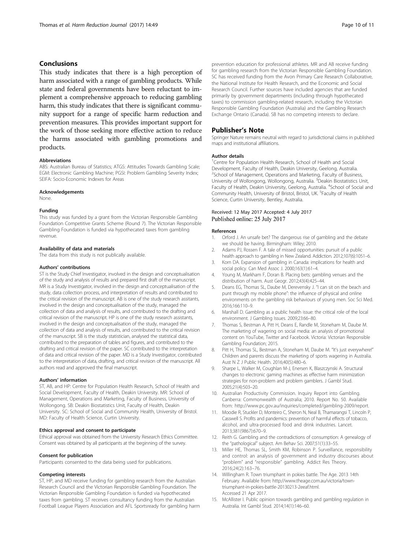# <span id="page-9-0"></span>Conclusions

This study indicates that there is a high perception of harm associated with a range of gambling products. While state and federal governments have been reluctant to implement a comprehensive approach to reducing gambling harm, this study indicates that there is significant community support for a range of specific harm reduction and prevention measures. This provides important support for the work of those seeking more effective action to reduce the harms associated with gambling promotions and products.

#### Abbreviations

ABS: Australian Bureau of Statistics; ATGS: Attitudes Towards Gambling Scale; EGM: Electronic Gambling Machine; PGSI: Problem Gambling Severity Index; SEIFA: Socio-Economic Indexes for Areas

## Acknowledgements

None.

# Funding

This study was funded by a grant from the Victorian Responsible Gambling Foundation Competitive Grants Scheme (Round 7). The Victorian Responsible Gambling Foundation is funded via hypothecated taxes from gambling revenue.

# Availability of data and materials

The data from this study is not publically available.

## Authors' contributions

ST is the Study Chief Investigator, involved in the design and conceptualisation of the study and analysis of results and prepared first draft of the manuscript. MR is a Study Investigator, involved in the design and conceptualisation of the study, data collection process, and interpretation of results and contributed to the critical revision of the manuscript. AB is one of the study research assitants, involved in the design and conceptualisation of the study, managed the collection of data and analysis of results, and contributed to the drafting and critical revision of the manuscript. HP is one of the study research assistants, involved in the design and conceptualisation of the study, managed the collection of data and analysis of results, and contributed to the critical revision of the manuscript. SB is the study statistician, analysed the statistical data, contributed to the preparation of tables and figures, and contributed to the drafting and critical revision of the paper. SC contributed to the interpretation of data and critical revision of the paper. MD is a Study Investigator, contributed to the interpretation of data, drafting, and critical revision of the manuscript. All authors read and approved the final manuscript.

### Authors' information

ST, AB, and HP: Centre for Population Health Research, School of Health and Social Development, Faculty of Health, Deakin University. MR: School of Management, Operations and Marketing, Faculty of Business, University of Wollongong. SB: Deakin Biostatistics Unit, Faculty of Health, Deakin University. SC: School of Social and Community Health, University of Bristol. MD: Faculty of Health Science, Curtin University.

## Ethics approval and consent to participate

Ethical approval was obtained from the University Research Ethics Committee. Consent was obtained by all participants at the beginning of the survey.

## Consent for publication

Participants consented to the data being used for publications.

#### Competing interests

ST, HP, and MD receive funding for gambling research from the Australian Research Council and the Victorian Responsible Gambling Foundation. The Victorian Responsible Gambling Foundation is funded via hypothecated taxes from gambling. ST receives consultancy funding from the Australian Football League Players Association and AFL Sportsready for gambling harm

prevention education for professional athletes. MR and AB receive funding for gambling research from the Victorian Responsible Gambling Foundation. SC has received funding from the Avon Primary Care Research Collaborative, the National Institute for Health Research, and the Economic and Social Research Council. Further sources have included agencies that are funded primarily by government departments (including through hypothecated taxes) to commission gambling-related research, including the Victorian Responsible Gambling Foundation (Australia) and the Gambling Research Exchange Ontario (Canada). SB has no competing interests to declare.

# Publisher's Note

Springer Nature remains neutral with regard to jurisdictional claims in published maps and institutional affiliations.

## Author details

<sup>1</sup> Centre for Population Health Research, School of Health and Social Development, Faculty of Health, Deakin University, Geelong, Australia. <sup>2</sup>School of Management, Operations and Marketing, Faculty of Business University of Wollongong, Wollongong, Australia. <sup>3</sup> Deakin Biostatistics Unit, Faculty of Health, Deakin University, Geelong, Australia. <sup>4</sup>School of Social and Community Health, University of Bristol, Bristol, UK. <sup>5</sup>Faculty of Health Science, Curtin University, Bentley, Australia.

# Received: 12 May 2017 Accepted: 4 July 2017 Published online: 25 July 2017

### References

- 1. Orford J. An unsafe bet? The dangerous rise of gambling and the debate we should be having. Birmingham: Wiley; 2010.
- 2. Adams PJ, Rossen F. A tale of missed opportunities: pursuit of a public
- health approach to gambling in New Zealand. Addiction. 2012;107(6):1051–6. 3. Korn DA. Expansion of gambling in Canada: implications for health and
- social policy. Can Med Assoc J. 2000;163(1):61–4. 4. Young M, Markham F, Doran B. Placing bets: gambling venues and the distribution of harm. Aust Geogr. 2012;43(4):425–44.
- 5. Deans EG, Thomas SL, Daube M, Derevensky J. "I can sit on the beach and punt through my mobile phone": the influence of physical and online environments on the gambling risk behaviours of young men. Soc Sci Med. 2016;166:110–9.
- 6. Marshall D. Gambling as a public health issue: the critical role of the local environment. J Gambling Issues. 2009;23:66–80.
- 7. Thomas S, Bestman A, Pitt H, Deans E, Randle M, Stoneham M, Daube M. The marketing of wagering on social media: an analysis of promotional content on YouTube, Twitter and Facebook. Victoria: Victorian Responsible Gambling Foundation; 2015.
- 8. Pitt H, Thomas SL, Bestman A, Stoneham M, Daube M. "It's just everywhere!" Children and parents discuss the marketing of sports wagering in Australia. Aust N Z J Public Health. 2016;40(5):480–6.
- 9. Sharpe L, Walker M, Coughlan M-J, Enersen K, Blaszczynski A. Structural changes to electronic gaming machines as effective harm minimization strategies for non-problem and problem gamblers. J Gambl Stud. 2005;21(4):503–20.
- 10. Australian Productivity Commission. Inquiry Report into Gambling. Canberra: Commonwealth of Australia; 2010. Report No. 50. Available from: [http://www.pc.gov.au/inquiries/completed/gambling-2009/report.](http://www.pc.gov.au/inquiries/completed/gambling-2009/report)
- 11. Moodie R, Stuckler D, Monteiro C, Sheron N, Neal B, Thamarangsi T, Lincoln P, Casswell S. Profits and pandemics: prevention of harmful effects of tobacco, alcohol, and ultra-processed food and drink industries. Lancet. 2013;381(9867):670–9.
- 12. Reith G. Gambling and the contradictions of consumption: A genealogy of the "pathological" subject. Am Behav Sci. 2007;51(1):33–55.
- 13. Miller HE, Thomas SL, Smith KM, Robinson P. Surveillance, responsibility and control: an analysis of government and industry discourses about "problem" and "responsible" gambling. Addict Res Theory. 2016;24(2):163–76.
- 14. Willingham R. Town triumphant in pokies battle. The Age. 2013 14th February. Available from: [http://www.theage.com.au/victoria/town](http://www.theage.com.au/victoria/town-triumphant-in-pokies-battle-20130213-2eeaf.html)[triumphant-in-pokies-battle-20130213-2eeaf.html.](http://www.theage.com.au/victoria/town-triumphant-in-pokies-battle-20130213-2eeaf.html) Accessed 21 Apr 2017.
- 15. McAllister I. Public opinion towards gambling and gambling regulation in Australia. Int Gambl Stud. 2014;14(1):146–60.